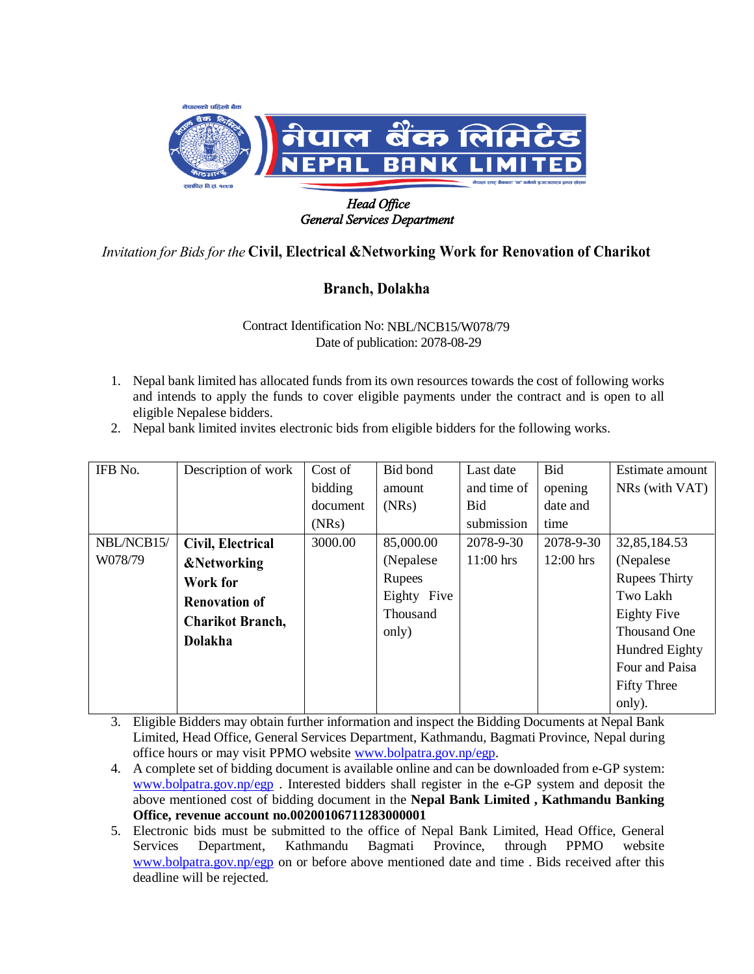

## *General Services Department*

## *Invitation for Bids for the* **Civil, Electrical &Networking Work for Renovation of Charikot**

## **Branch, Dolakha**

Contract Identification No: NBL/NCB15/W078/79 Date of publication: 2078-08-29

- 1. Nepal bank limited has allocated funds from its own resources towards the cost of following works and intends to apply the funds to cover eligible payments under the contract and is open to all eligible Nepalese bidders.
- 2. Nepal bank limited invites electronic bids from eligible bidders for the following works.

| IFB No.    | Description of work     | Cost of  | Bid bond    | Last date   | Bid         | Estimate amount      |
|------------|-------------------------|----------|-------------|-------------|-------------|----------------------|
|            |                         | bidding  | amount      | and time of | opening     | NRs (with VAT)       |
|            |                         | document | (NRs)       | Bid         | date and    |                      |
|            |                         | (NRs)    |             | submission  | time        |                      |
| NBL/NCB15/ | Civil, Electrical       | 3000.00  | 85,000.00   | 2078-9-30   | 2078-9-30   | 32,85,184.53         |
| W078/79    | <b>&amp;Networking</b>  |          | (Nepalese   | $11:00$ hrs | $12:00$ hrs | (Nepalese)           |
|            | Work for                |          | Rupees      |             |             | <b>Rupees Thirty</b> |
|            | <b>Renovation of</b>    |          | Eighty Five |             |             | Two Lakh             |
|            | <b>Charikot Branch,</b> |          | Thousand    |             |             | <b>Eighty Five</b>   |
|            | <b>Dolakha</b>          |          | only)       |             |             | Thousand One         |
|            |                         |          |             |             |             | Hundred Eighty       |
|            |                         |          |             |             |             | Four and Paisa       |
|            |                         |          |             |             |             | <b>Fifty Three</b>   |
|            |                         |          |             |             |             | only).               |

- 3. Eligible Bidders may obtain further information and inspect the Bidding Documents at Nepal Bank Limited, Head Office, General Services Department, Kathmandu, Bagmati Province, Nepal during office hours or may visit PPMO website [www.bolpatra.gov.np/egp.](http://www.bolpatra.gov.np/egp)
- 4. A complete set of bidding document is available online and can be downloaded from e-GP system: [www.bolpatra.gov.np/egp](http://www.bolpatra.gov.np/egp) . Interested bidders shall register in the e-GP system and deposit the above mentioned cost of bidding document in the **Nepal Bank Limited , Kathmandu Banking Office, revenue account no.00200106711283000001**
- 5. Electronic bids must be submitted to the office of Nepal Bank Limited, Head Office, General Services Department, Kathmandu Bagmati Province, through PPMO website [www.bolpatra.gov.np/egp](http://www.bolpatra.gov.np/egp) on or before above mentioned date and time . Bids received after this deadline will be rejected.